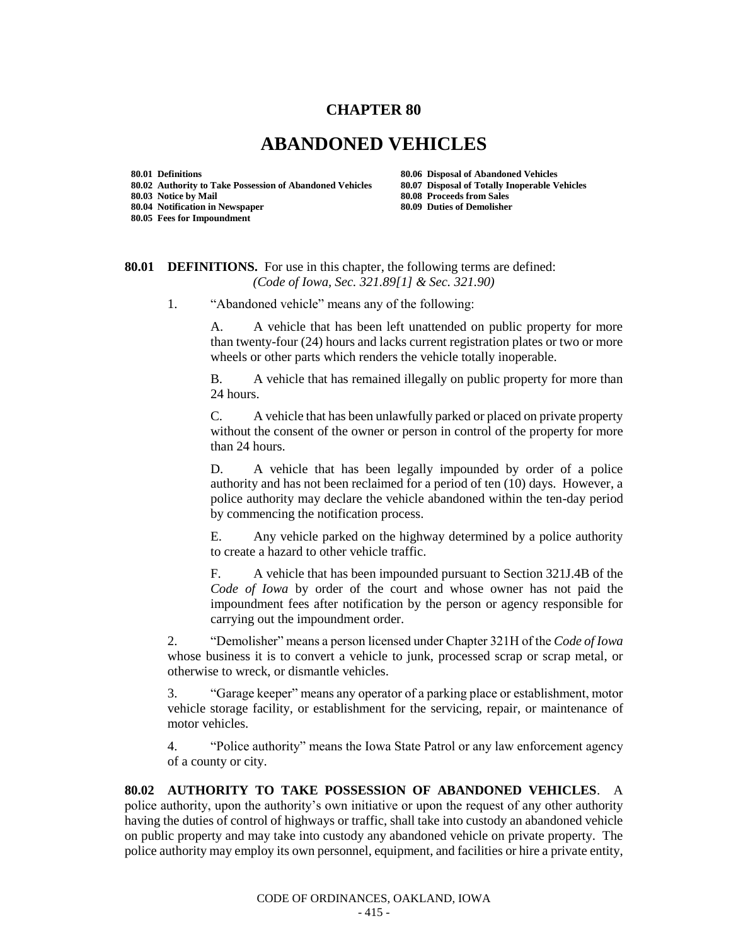## **CHAPTER 80**

## **ABANDONED VEHICLES**

**80.05 Fees for Impoundment**

**80.01 Definitions 80.06 Disposal of Abandoned Vehicles 80.02 Authority to Take Possession of Abandoned Vehicles 80.07 Disposal of Totally Inoperable Vehicles 80.03 Notice by Mail 80.08 Proceeds from Sales 80.04 Notification in Newspaper 80.09 Duties of Demolisher**

## **80.01 DEFINITIONS.** For use in this chapter, the following terms are defined: *(Code of Iowa, Sec. 321.89[1] & Sec. 321.90)*

1. "Abandoned vehicle" means any of the following:

A. A vehicle that has been left unattended on public property for more than twenty-four (24) hours and lacks current registration plates or two or more wheels or other parts which renders the vehicle totally inoperable.

B. A vehicle that has remained illegally on public property for more than 24 hours.

C. A vehicle that has been unlawfully parked or placed on private property without the consent of the owner or person in control of the property for more than 24 hours.

D. A vehicle that has been legally impounded by order of a police authority and has not been reclaimed for a period of ten (10) days. However, a police authority may declare the vehicle abandoned within the ten-day period by commencing the notification process.

E. Any vehicle parked on the highway determined by a police authority to create a hazard to other vehicle traffic.

F. A vehicle that has been impounded pursuant to Section 321J.4B of the *Code of Iowa* by order of the court and whose owner has not paid the impoundment fees after notification by the person or agency responsible for carrying out the impoundment order.

2. "Demolisher" means a person licensed under Chapter 321H of the *Code of Iowa* whose business it is to convert a vehicle to junk, processed scrap or scrap metal, or otherwise to wreck, or dismantle vehicles.

3. "Garage keeper" means any operator of a parking place or establishment, motor vehicle storage facility, or establishment for the servicing, repair, or maintenance of motor vehicles.

4. "Police authority" means the Iowa State Patrol or any law enforcement agency of a county or city.

**80.02 AUTHORITY TO TAKE POSSESSION OF ABANDONED VEHICLES**. A police authority, upon the authority's own initiative or upon the request of any other authority having the duties of control of highways or traffic, shall take into custody an abandoned vehicle on public property and may take into custody any abandoned vehicle on private property. The police authority may employ its own personnel, equipment, and facilities or hire a private entity,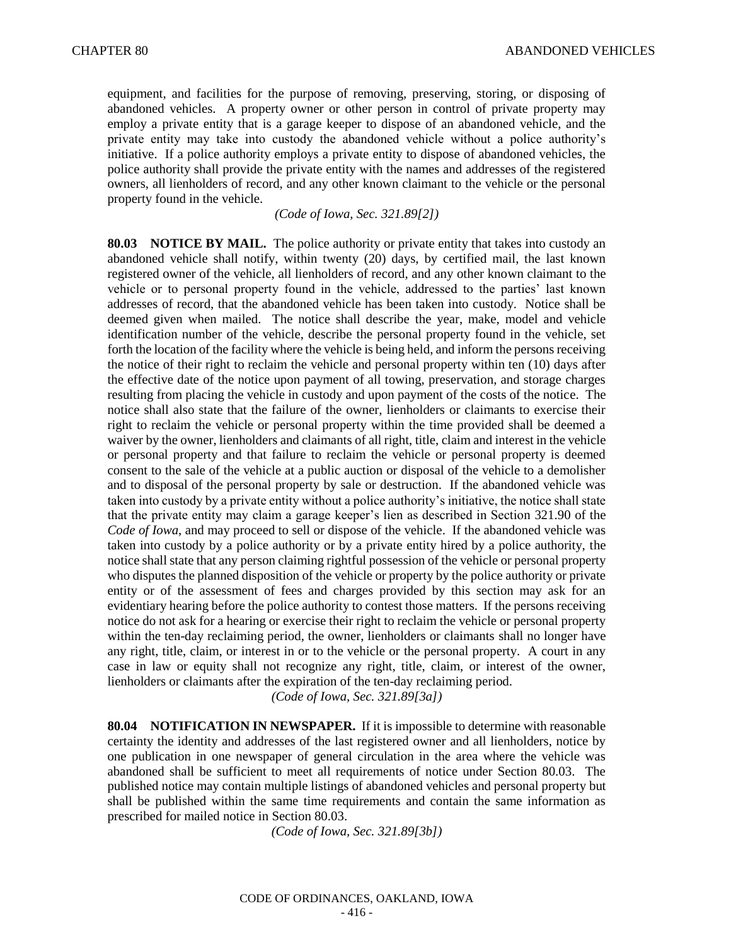equipment, and facilities for the purpose of removing, preserving, storing, or disposing of abandoned vehicles. A property owner or other person in control of private property may employ a private entity that is a garage keeper to dispose of an abandoned vehicle, and the private entity may take into custody the abandoned vehicle without a police authority's initiative. If a police authority employs a private entity to dispose of abandoned vehicles, the police authority shall provide the private entity with the names and addresses of the registered owners, all lienholders of record, and any other known claimant to the vehicle or the personal property found in the vehicle.

*(Code of Iowa, Sec. 321.89[2])*

**80.03 NOTICE BY MAIL.** The police authority or private entity that takes into custody an abandoned vehicle shall notify, within twenty (20) days, by certified mail, the last known registered owner of the vehicle, all lienholders of record, and any other known claimant to the vehicle or to personal property found in the vehicle, addressed to the parties' last known addresses of record, that the abandoned vehicle has been taken into custody. Notice shall be deemed given when mailed. The notice shall describe the year, make, model and vehicle identification number of the vehicle, describe the personal property found in the vehicle, set forth the location of the facility where the vehicle is being held, and inform the persons receiving the notice of their right to reclaim the vehicle and personal property within ten (10) days after the effective date of the notice upon payment of all towing, preservation, and storage charges resulting from placing the vehicle in custody and upon payment of the costs of the notice. The notice shall also state that the failure of the owner, lienholders or claimants to exercise their right to reclaim the vehicle or personal property within the time provided shall be deemed a waiver by the owner, lienholders and claimants of all right, title, claim and interest in the vehicle or personal property and that failure to reclaim the vehicle or personal property is deemed consent to the sale of the vehicle at a public auction or disposal of the vehicle to a demolisher and to disposal of the personal property by sale or destruction. If the abandoned vehicle was taken into custody by a private entity without a police authority's initiative, the notice shall state that the private entity may claim a garage keeper's lien as described in Section 321.90 of the *Code of Iowa*, and may proceed to sell or dispose of the vehicle. If the abandoned vehicle was taken into custody by a police authority or by a private entity hired by a police authority, the notice shall state that any person claiming rightful possession of the vehicle or personal property who disputes the planned disposition of the vehicle or property by the police authority or private entity or of the assessment of fees and charges provided by this section may ask for an evidentiary hearing before the police authority to contest those matters. If the persons receiving notice do not ask for a hearing or exercise their right to reclaim the vehicle or personal property within the ten-day reclaiming period, the owner, lienholders or claimants shall no longer have any right, title, claim, or interest in or to the vehicle or the personal property. A court in any case in law or equity shall not recognize any right, title, claim, or interest of the owner, lienholders or claimants after the expiration of the ten-day reclaiming period.

*(Code of Iowa, Sec. 321.89[3a])*

**80.04 NOTIFICATION IN NEWSPAPER.** If it is impossible to determine with reasonable certainty the identity and addresses of the last registered owner and all lienholders, notice by one publication in one newspaper of general circulation in the area where the vehicle was abandoned shall be sufficient to meet all requirements of notice under Section 80.03. The published notice may contain multiple listings of abandoned vehicles and personal property but shall be published within the same time requirements and contain the same information as prescribed for mailed notice in Section 80.03.

*(Code of Iowa, Sec. 321.89[3b])*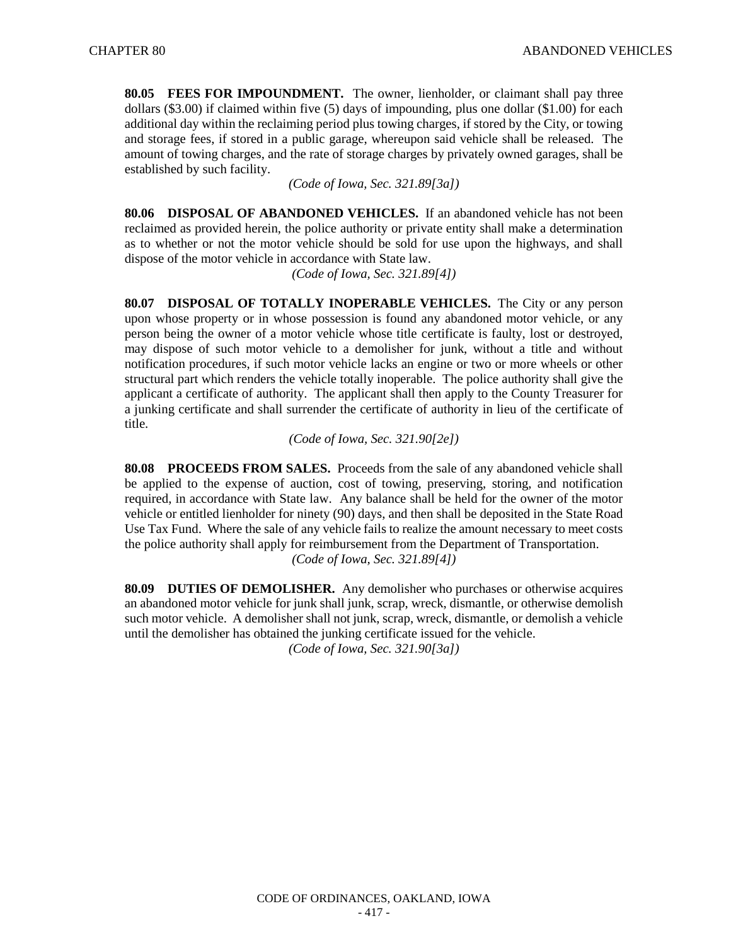**80.05 FEES FOR IMPOUNDMENT.** The owner, lienholder, or claimant shall pay three dollars (\$3.00) if claimed within five (5) days of impounding, plus one dollar (\$1.00) for each additional day within the reclaiming period plus towing charges, if stored by the City, or towing and storage fees, if stored in a public garage, whereupon said vehicle shall be released. The amount of towing charges, and the rate of storage charges by privately owned garages, shall be established by such facility.

*(Code of Iowa, Sec. 321.89[3a])*

**80.06 DISPOSAL OF ABANDONED VEHICLES.** If an abandoned vehicle has not been reclaimed as provided herein, the police authority or private entity shall make a determination as to whether or not the motor vehicle should be sold for use upon the highways, and shall dispose of the motor vehicle in accordance with State law.

*(Code of Iowa, Sec. 321.89[4])*

**80.07 DISPOSAL OF TOTALLY INOPERABLE VEHICLES.** The City or any person upon whose property or in whose possession is found any abandoned motor vehicle, or any person being the owner of a motor vehicle whose title certificate is faulty, lost or destroyed, may dispose of such motor vehicle to a demolisher for junk, without a title and without notification procedures, if such motor vehicle lacks an engine or two or more wheels or other structural part which renders the vehicle totally inoperable. The police authority shall give the applicant a certificate of authority. The applicant shall then apply to the County Treasurer for a junking certificate and shall surrender the certificate of authority in lieu of the certificate of title.

*(Code of Iowa, Sec. 321.90[2e])*

**80.08 PROCEEDS FROM SALES.** Proceeds from the sale of any abandoned vehicle shall be applied to the expense of auction, cost of towing, preserving, storing, and notification required, in accordance with State law. Any balance shall be held for the owner of the motor vehicle or entitled lienholder for ninety (90) days, and then shall be deposited in the State Road Use Tax Fund. Where the sale of any vehicle fails to realize the amount necessary to meet costs the police authority shall apply for reimbursement from the Department of Transportation. *(Code of Iowa, Sec. 321.89[4])*

**80.09 DUTIES OF DEMOLISHER.** Any demolisher who purchases or otherwise acquires an abandoned motor vehicle for junk shall junk, scrap, wreck, dismantle, or otherwise demolish such motor vehicle. A demolisher shall not junk, scrap, wreck, dismantle, or demolish a vehicle until the demolisher has obtained the junking certificate issued for the vehicle.

*(Code of Iowa, Sec. 321.90[3a])*